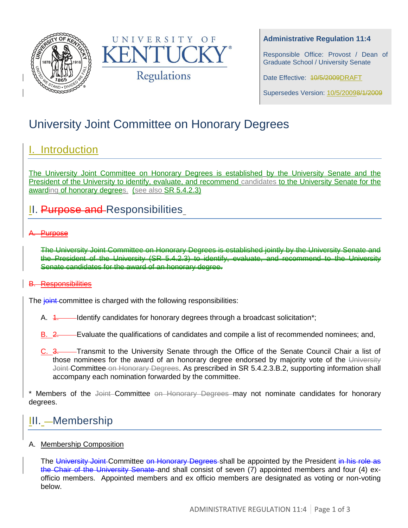



## **Administrative Regulation 11:4**

Responsible Office: Provost / Dean of Graduate School / University Senate

Date Effective: 40/5/2009DRAFT

Supersedes Version: 10/5/20098/1/2009

# University Joint Committee on Honorary Degrees

# I. Introduction

The University Joint Committee on Honorary Degrees is established by the University Senate and the President of the University to identify, evaluate, and recommend candidates to the University Senate for the awarding of honorary degrees. (see also SR 5.4.2.3)

# II. Purpose and Responsibilities

## A. Purpose

The University Joint Committee on Honorary Degrees is established jointly by the University Senate and the President of the University (SR 5.4.2.3) to identify, evaluate, and recommend to the University Senate candidates for the award of an honorary degree.

### B. Responsibilities

The joint committee is charged with the following responsibilities:

- A. 4. Identify candidates for honorary degrees through a broadcast solicitation\*;
- B. 2. Evaluate the qualifications of candidates and compile a list of recommended nominees; and,
- C. 3. Transmit to the University Senate through the Office of the Senate Council Chair a list of those nominees for the award of an honorary degree endorsed by majority vote of the University Joint-Committee on Honorary Degrees. As prescribed in SR 5.4.2.3.B.2, supporting information shall accompany each nomination forwarded by the committee.

\* Members of the Joint-Committee on Honorary Degrees may not nominate candidates for honorary degrees.

# III. - Membership

### A. Membership Composition

The University Joint-Committee on Honorary Degrees-shall be appointed by the President in his role as the Chair of the University Senate and shall consist of seven (7) appointed members and four (4) exofficio members. Appointed members and ex officio members are designated as voting or non-voting below.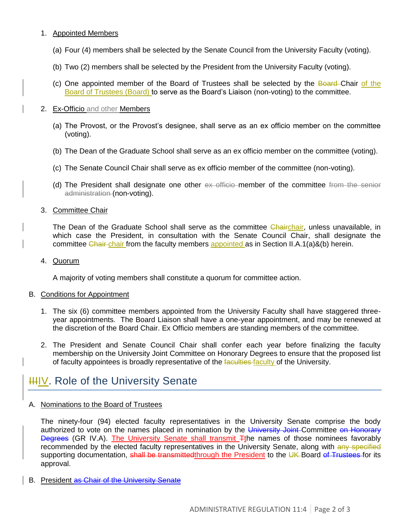### 1. Appointed Members

- (a) Four (4) members shall be selected by the Senate Council from the University Faculty (voting).
- (b) Two (2) members shall be selected by the President from the University Faculty (voting).
- (c) One appointed member of the Board of Trustees shall be selected by the Board-Chair of the Board of Trustees (Board) to serve as the Board's Liaison (non-voting) to the committee.

#### 2. Ex-Officio and other Members

- (a) The Provost, or the Provost's designee, shall serve as an ex officio member on the committee (voting).
- (b) The Dean of the Graduate School shall serve as an ex officio member on the committee (voting).
- (c) The Senate Council Chair shall serve as ex officio member of the committee (non-voting).
- (d) The President shall designate one other ex officio member of the committee from the senior administration (non-voting).

#### 3. Committee Chair

The Dean of the Graduate School shall serve as the committee Chairchair, unless unavailable, in which case the President, in consultation with the Senate Council Chair, shall designate the committee Chair-chair from the faculty members appointed as in Section II.A.1(a)&(b) herein.

#### 4. Quorum

A majority of voting members shall constitute a quorum for committee action.

#### B. Conditions for Appointment

- 1. The six (6) committee members appointed from the University Faculty shall have staggered threeyear appointments. The Board Liaison shall have a one-year appointment, and may be renewed at the discretion of the Board Chair. Ex Officio members are standing members of the committee.
- 2. The President and Senate Council Chair shall confer each year before finalizing the faculty membership on the University Joint Committee on Honorary Degrees to ensure that the proposed list of faculty appointees is broadly representative of the faculties-faculty of the University.

# **IIIIV.** Role of the University Senate

### A. Nominations to the Board of Trustees

The ninety-four (94) elected faculty representatives in the University Senate comprise the body authorized to vote on the names placed in nomination by the University Joint-Committee on Honorary Degrees (GR IV.A). The University Senate shall transmit Tthe names of those nominees favorably recommended by the elected faculty representatives in the University Senate, along with any specified supporting documentation, shall be transmittedthrough the President to the UK Board of Trustees for its approval.

B. President as Chair of the University Senate